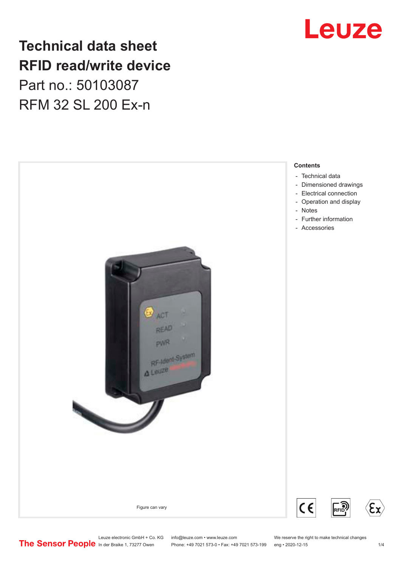# Leuze

# **Technical data sheet RFID read/write device** Part no.: 50103087 RFM 32 SL 200 Ex-n



Leuze electronic GmbH + Co. KG info@leuze.com • www.leuze.com We reserve the right to make technical changes<br>
The Sensor People in der Braike 1, 73277 Owen Phone: +49 7021 573-0 • Fax: +49 7021 573-199 eng • 2020-12-15

Phone: +49 7021 573-0 • Fax: +49 7021 573-199 eng • 2020-12-15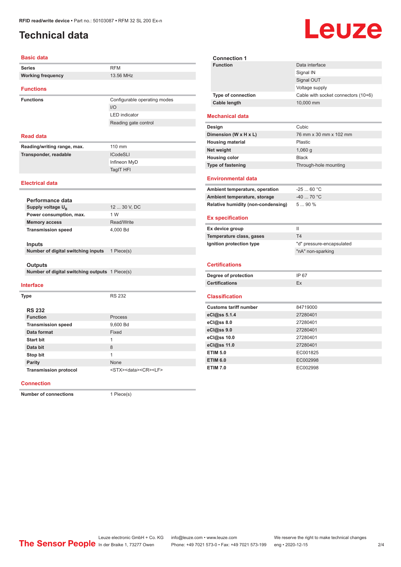## <span id="page-1-0"></span>**Technical data**

### **Basic data**

| <b>Basic data</b>                              |                              |  |  |
|------------------------------------------------|------------------------------|--|--|
| <b>Series</b>                                  | <b>RFM</b>                   |  |  |
| <b>Working frequency</b>                       | 13.56 MHz                    |  |  |
| <b>Functions</b>                               |                              |  |  |
| <b>Functions</b>                               | Configurable operating modes |  |  |
|                                                | 1/O                          |  |  |
|                                                | <b>LED</b> indicator         |  |  |
|                                                | Reading gate control         |  |  |
| <b>Read data</b>                               |                              |  |  |
| Reading/writing range, max.                    | 110 mm                       |  |  |
| Transponder, readable                          | <b>ICodeSLI</b>              |  |  |
|                                                | Infineon MyD                 |  |  |
|                                                | TagIT HFI                    |  |  |
| <b>Electrical data</b>                         |                              |  |  |
|                                                |                              |  |  |
| Performance data                               |                              |  |  |
| Supply voltage U <sub>B</sub>                  | 12  30 V, DC                 |  |  |
| Power consumption, max.                        | 1 W<br>Read/Write            |  |  |
| <b>Memory access</b>                           |                              |  |  |
| <b>Transmission speed</b>                      | 4,000 Bd                     |  |  |
| <b>Inputs</b>                                  |                              |  |  |
| Number of digital switching inputs             | 1 Piece(s)                   |  |  |
|                                                |                              |  |  |
| <b>Outputs</b>                                 |                              |  |  |
| Number of digital switching outputs 1 Piece(s) |                              |  |  |
| <b>Interface</b>                               |                              |  |  |
| <b>Type</b>                                    | <b>RS 232</b>                |  |  |
|                                                |                              |  |  |
| <b>RS 232</b>                                  |                              |  |  |
| <b>Function</b>                                | <b>Process</b>               |  |  |
| <b>Transmission speed</b>                      | 9.600 Bd                     |  |  |

| <b>Connection 1</b>       |                                     |
|---------------------------|-------------------------------------|
| <b>Function</b>           | Data interface                      |
|                           | Signal IN                           |
|                           | Signal OUT                          |
|                           | Voltage supply                      |
| <b>Type of connection</b> | Cable with socket connectors (10+6) |
| Cable length              | 10,000 mm                           |
|                           |                                     |

### **Mechanical data**

| Design                   | Cubic                  |
|--------------------------|------------------------|
| Dimension (W x H x L)    | 76 mm x 30 mm x 102 mm |
| <b>Housing material</b>  | <b>Plastic</b>         |
| Net weight               | 1,060 $q$              |
| <b>Housing color</b>     | <b>Black</b>           |
| <b>Type of fastening</b> | Through-hole mounting  |

### **Environmental data**

| Ambient temperature, operation     | -25  60 °C |
|------------------------------------|------------|
| Ambient temperature, storage       | $-4070 °C$ |
| Relative humidity (non-condensing) | $590\%$    |

### **Ex specification**

| Ex device group          |                           |
|--------------------------|---------------------------|
| Temperature class, gases | T4                        |
| Ignition protection type | "d" pressure-encapsulated |
|                          | "nA" non-sparking         |

#### **Certifications**

| Degree of protection  | IP 67 |
|-----------------------|-------|
| <b>Certifications</b> |       |

#### **Classification**

| <b>Customs tariff number</b> | 84719000 |
|------------------------------|----------|
| eCl@ss 5.1.4                 | 27280401 |
| $eC/\omega$ ss 8.0           | 27280401 |
| $eC/\omega$ ss 9.0           | 27280401 |
| eCl@ss 10.0                  | 27280401 |
| eCl@ss 11.0                  | 27280401 |
| <b>ETIM 5.0</b>              | EC001825 |
| <b>ETIM 6.0</b>              | EC002998 |
| <b>ETIM 7.0</b>              | EC002998 |

#### **Connection**

**Number of connections** 1 Piece(s)

**Data format** Fixed **Start bit** 1 **Data bit** 8 **Stop bit** 1 **Parity** None

Transmission protocol <STX><data><CR><LF>

# Leuze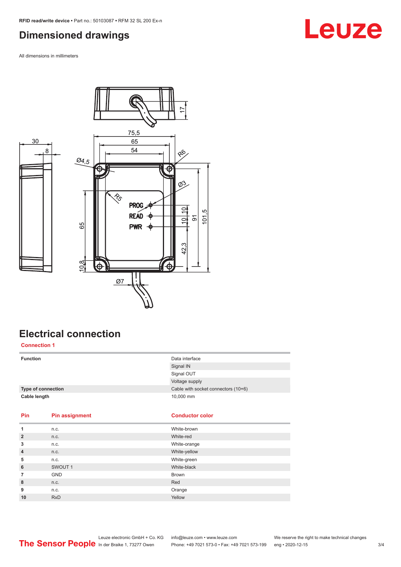## <span id="page-2-0"></span>**Dimensioned drawings**

All dimensions in millimeters

30



### **Electrical connection Connection 1**

| <b>Function</b>    |                    | Data interface                      |  |
|--------------------|--------------------|-------------------------------------|--|
|                    |                    | Signal IN                           |  |
|                    |                    | Signal OUT                          |  |
|                    |                    | Voltage supply                      |  |
| Type of connection |                    | Cable with socket connectors (10+6) |  |
| Cable length       |                    | 10,000 mm                           |  |
|                    |                    |                                     |  |
|                    |                    |                                     |  |
| <b>Pin</b>         | Pin assignment     | <b>Conductor color</b>              |  |
|                    |                    |                                     |  |
| 1                  | n.c.               | White-brown                         |  |
| $\overline{2}$     | n.c.               | White-red                           |  |
| 3                  | n.c.               | White-orange                        |  |
| $\overline{4}$     | n.c.               | White-yellow                        |  |
| 5                  | n.c.               | White-green                         |  |
| 6                  | SWOUT <sub>1</sub> | White-black                         |  |
| 7                  | <b>GND</b>         | <b>Brown</b>                        |  |
| 8                  | n.c.               | Red                                 |  |
| 9                  | n.c.               | Orange                              |  |

# **Leuze**